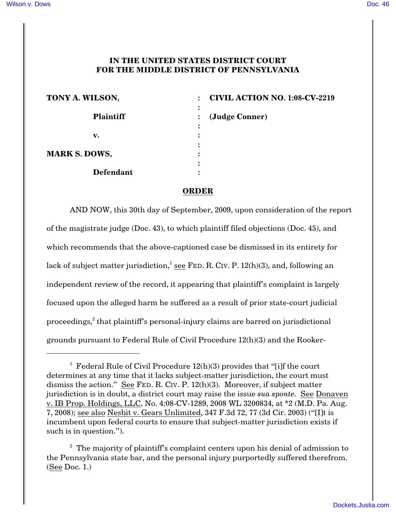## **IN THE UNITED STATES DISTRICT COURT FOR THE MIDDLE DISTRICT OF PENNSYLVANIA**

| TONY A. WILSON,      |   | <b>CIVIL ACTION NO. 1:08-CV-2219</b> |
|----------------------|---|--------------------------------------|
|                      |   |                                      |
| <b>Plaintiff</b>     |   | (Judge Conner)                       |
|                      |   |                                      |
| v.                   |   |                                      |
|                      | ٠ |                                      |
| <b>MARK S. DOWS,</b> | ٠ |                                      |
|                      | ٠ |                                      |
| <b>Defendant</b>     |   |                                      |

## **ORDER**

AND NOW, this 30th day of September, 2009, upon consideration of the report of the magistrate judge (Doc. 43), to which plaintiff filed objections (Doc. 45), and which recommends that the above-captioned case be dismissed in its entirety for lack of subject matter jurisdiction,<sup>1</sup> see FED. R. CIV. P.  $12(h)(3)$ , and, following an independent review of the record, it appearing that plaintiff's complaint is largely focused upon the alleged harm he suffered as a result of prior state-court judicial proceedings, $\epsilon$  that plaintiff's personal-injury claims are barred on jurisdictional grounds pursuant to [Federal Rule of Civil Procedure 12\(h\)\(3\)](http://www.westlaw.com/find/default.wl?rs=CLWP3.0&vr=2.0&cite=CCPPROCEDURE+12%28h%29%283%29) and the Rooker-

<sup>&</sup>lt;sup>1</sup> Federal Rule of Civil Procedure  $12(h)(3)$  provides that "[i]f the court determines at any time that it lacks subject-matter jurisdiction, the court must dismiss the action." See FED. R. CIV[. P. 12\(h\)\(3\)](http://www.westlaw.com/find/default.wl?rs=CLWP3.0&vr=2.0&cite=FRCP+P.+12%28h%29%283%29). Moreover, if subject matter jurisdiction is in doubt, a district court may raise the issue *sua sponte.* See [Donaven](http://www.westlaw.com/find/default.wl?rs=CLWP3.0&vr=2.0&cite=2008+WL+3200834) [v. IB Prop. Holdings, LLC, No. 4:08-CV-1289, 2008 WL 3200834, at \\*2 \(M.D. Pa. Aug.](http://www.westlaw.com/find/default.wl?rs=CLWP3.0&vr=2.0&cite=2008+WL+3200834) [7, 2008\)](http://www.westlaw.com/find/default.wl?rs=CLWP3.0&vr=2.0&cite=2008+WL+3200834); see also [Nesbit v. Gears Unlimited, 347 F.3d 72, 77 \(3d Cir. 2003\)](http://www.westlaw.com/find/default.wl?rs=CLWP3.0&vr=2.0&cite=347+F.3d+72) ("[I]t is incumbent upon federal courts to ensure that subject-matter jurisdiction exists if such is in question.").

 $2$  The majority of plaintiff's complaint centers upon his denial of admission to the Pennsylvania state bar, and the personal injury purportedly suffered therefrom. (See Doc. 1.)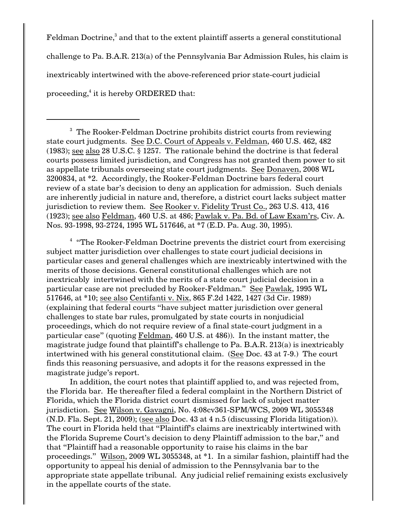$Feldman$  Doctrine, $3$  and that to the extent plaintiff asserts a general constitutional challenge to [Pa. B.A.R. 213\(a\)](http://www.westlaw.com/find/default.wl?rs=CLWP3.0&vr=2.0&cite=PA+ST+ADMIS+213%28a%29) of the Pennsylvania Bar Admission Rules, his claim is inextricably intertwined with the above-referenced prior state-court judicial proceeding, $4$  it is hereby ORDERED that:

 $^{\rm 3}$  The Rooker-Feldman Doctrine prohibits district courts from reviewing state court judgments. See [D.C. Court of Appeals v. Feldman, 460 U.S. 462, 482](http://www.westlaw.com/find/default.wl?rs=CLWP3.0&vr=2.0&cite=460+U.S.+462) [\(1983\)](http://www.westlaw.com/find/default.wl?rs=CLWP3.0&vr=2.0&cite=460+U.S.+462); see also [28 U.S.C. § 1257](http://www.westlaw.com/find/default.wl?rs=CLWP3.0&vr=2.0&cite=28+USCA+s+1257). The rationale behind the doctrine is that federal courts possess limited jurisdiction, and Congress has not granted them power to sit as appellate tribunals overseeing state court judgments. See [Donaven, 2008 WL](http://www.westlaw.com/find/default.wl?rs=CLWP3.0&vr=2.0&cite=2008+WL+3200834) [3200834](http://www.westlaw.com/find/default.wl?rs=CLWP3.0&vr=2.0&cite=2008+WL+3200834), at \*2. Accordingly, the Rooker-Feldman Doctrine bars federal court review of a state bar's decision to deny an application for admission. Such denials are inherently judicial in nature and, therefore, a district court lacks subject matter jurisdiction to review them. See [Rooker v. Fidelity Trust Co., 263 U.S. 413, 416](http://www.westlaw.com/find/default.wl?rs=CLWP3.0&vr=2.0&cite=263+U.S.+413) [\(1923\)](http://www.westlaw.com/find/default.wl?rs=CLWP3.0&vr=2.0&cite=263+U.S.+413); see also [Feldman, 460 U.S. at 486](http://www.westlaw.com/find/default.wl?rs=CLWP3.0&vr=2.0&cite=460+U.S.+486); [Pawlak v. Pa. Bd. of Law Exam'rs, Civ. A.](http://www.westlaw.com/find/default.wl?rs=CLWP3.0&vr=2.0&cite=1995+WL+517646) [Nos. 93-1998, 93-2724, 1995 WL 517646, at \\*7 \(E.D. Pa. Aug. 30, 1995\)](http://www.westlaw.com/find/default.wl?rs=CLWP3.0&vr=2.0&cite=1995+WL+517646).

 $^4$  "The Rooker-Feldman Doctrine prevents the district court from exercising subject matter jurisdiction over challenges to state court judicial decisions in particular cases and general challenges which are inextricably intertwined with the merits of those decisions. General constitutional challenges which are not inextricably intertwined with the merits of a state court judicial decision in a particular case are not precluded by [Rooker-Feldman." See Pawlak, 1995 WL](http://www.westlaw.com/find/default.wl?rs=CLWP3.0&vr=2.0&cite=1995+WL+517646) [517646](http://www.westlaw.com/find/default.wl?rs=CLWP3.0&vr=2.0&cite=1995+WL+517646), at \*10; see also [Centifanti v. Nix, 865 F.2d 1422, 1427 \(3d Cir. 1989\)](http://www.westlaw.com/find/default.wl?rs=CLWP3.0&vr=2.0&cite=865+F.2d+1422) (explaining that federal courts "have subject matter jurisdiction over general challenges to state bar rules, promulgated by state courts in nonjudicial proceedings, which do not require review of a final state-court judgment in a particular case" (quoting [Feldman, 460 U.S. at 486](http://www.westlaw.com/find/default.wl?rs=CLWP3.0&vr=2.0&cite=460+U.S.+486))). In the instant matter, the magistrate judge found that plaintiff's challenge to [Pa. B.A.R. 213\(a\)](http://www.westlaw.com/find/default.wl?rs=CLWP3.0&vr=2.0&cite=PA+ST+ADMIS+213%28a%29) is inextricably intertwined with his general constitutional claim. (See Doc. 43 at 7-9.) The court finds this reasoning persuasive, and adopts it for the reasons expressed in the magistrate judge's report.

In addition, the court notes that plaintiff applied to, and was rejected from, the Florida bar. He thereafter filed a federal complaint in the Northern District of Florida, which the Florida district court dismissed for lack of subject matter jurisdiction. See [Wilson v. Gavagni, No. 4:08cv361-SPM/WCS, 2009 WL 3055348](http://www.westlaw.com/find/default.wl?rs=CLWP3.0&vr=2.0&cite=2009+WL+3055348) [\(N.D. Fla. Sept. 21, 2009\)](http://www.westlaw.com/find/default.wl?rs=CLWP3.0&vr=2.0&cite=2009+WL+3055348); (see also Doc. 43 at 4 n.5 (discussing Florida litigation)). The court in Florida held that "Plaintiff's claims are inextricably intertwined with the Florida Supreme Court's decision to deny Plaintiff admission to the bar," and that "Plaintiff had a reasonable opportunity to raise his claims in the bar proceedings." [Wilson, 2009 WL 3055348](http://www.westlaw.com/find/default.wl?rs=CLWP3.0&vr=2.0&cite=2009+WL+3055348), at \*1. In a similar fashion, plaintiff had the opportunity to appeal his denial of admission to the Pennsylvania bar to the appropriate state appellate tribunal. Any judicial relief remaining exists exclusively in the appellate courts of the state.